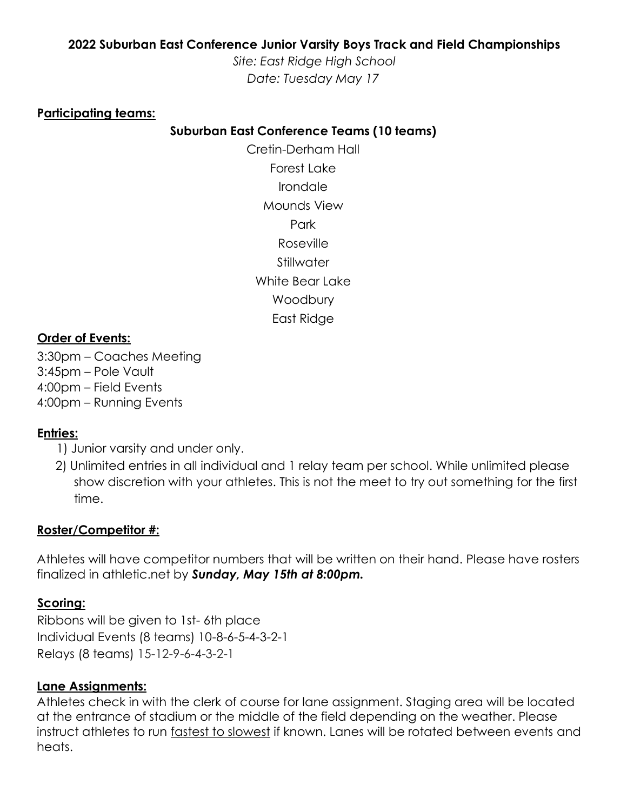# **2022 Suburban East Conference Junior Varsity Boys Track and Field Championships**

*Site: East Ridge High School Date: Tuesday May 17*

#### **Participating teams:**

## **Suburban East Conference Teams (10 teams)**

Cretin-Derham Hall Forest Lake Irondale Mounds View Park Roseville Stillwater White Bear Lake **Woodbury** East Ridge

#### **Order of Events:**

3:30pm – Coaches Meeting 3:45pm – Pole Vault 4:00pm – Field Events 4:00pm – Running Events

## **Entries:**

1) Junior varsity and under only.

2) Unlimited entries in all individual and 1 relay team per school. While unlimited please show discretion with your athletes. This is not the meet to try out something for the first time.

#### **Roster/Competitor #:**

Athletes will have competitor numbers that will be written on their hand. Please have rosters finalized in athletic.net by *Sunday, May 15th at 8:00pm.* 

## **Scoring:**

Ribbons will be given to 1st- 6th place Individual Events (8 teams) 10-8-6-5-4-3-2-1 Relays (8 teams) 15-12-9-6-4-3-2-1

## **Lane Assignments:**

Athletes check in with the clerk of course for lane assignment. Staging area will be located at the entrance of stadium or the middle of the field depending on the weather. Please instruct athletes to run fastest to slowest if known. Lanes will be rotated between events and heats.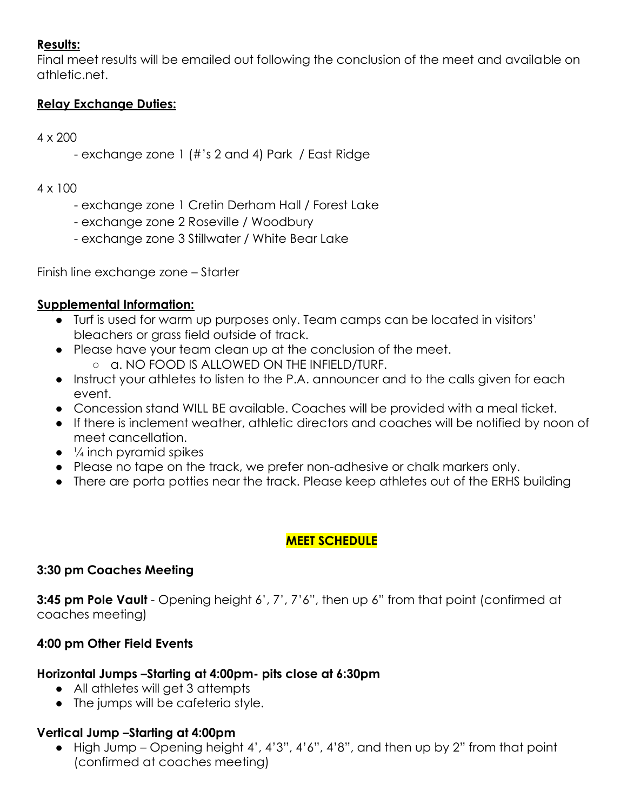# **Results:**

Final meet results will be emailed out following the conclusion of the meet and available on athletic.net.

# **Relay Exchange Duties:**

4 x 200

- exchange zone 1 (#'s 2 and 4) Park / East Ridge

#### 4 x 100

- exchange zone 1 Cretin Derham Hall / Forest Lake
- exchange zone 2 Roseville / Woodbury
- exchange zone 3 Stillwater / White Bear Lake

Finish line exchange zone – Starter

## **Supplemental Information:**

- Turf is used for warm up purposes only. Team camps can be located in visitors' bleachers or grass field outside of track.
- Please have your team clean up at the conclusion of the meet.
	- a. NO FOOD IS ALLOWED ON THE INFIELD/TURF.
- Instruct your athletes to listen to the P.A. announcer and to the calls given for each event.
- Concession stand WILL BE available. Coaches will be provided with a meal ticket.
- If there is inclement weather, athletic directors and coaches will be notified by noon of meet cancellation.
- $\bullet$   $\frac{1}{4}$  inch pyramid spikes
- Please no tape on the track, we prefer non-adhesive or chalk markers only.
- There are porta potties near the track. Please keep athletes out of the ERHS building

# **MEET SCHEDULE**

## **3:30 pm Coaches Meeting**

**3:45 pm Pole Vault** - Opening height 6', 7', 7'6", then up 6" from that point (confirmed at coaches meeting)

# **4:00 pm Other Field Events**

# **Horizontal Jumps –Starting at 4:00pm- pits close at 6:30pm**

- All athletes will get 3 attempts
- The jumps will be cafeteria style.

# **Vertical Jump –Starting at 4:00pm**

● High Jump – Opening height 4', 4'3", 4'6", 4'8", and then up by 2" from that point (confirmed at coaches meeting)